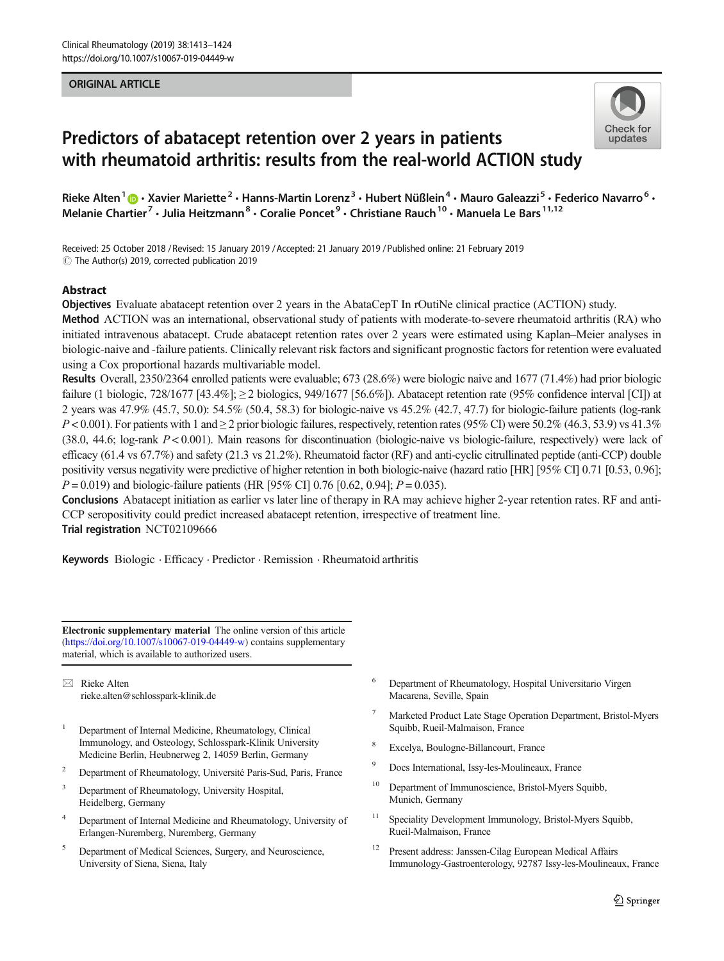#### ORIGINAL ARTICLE



# Predictors of abatacept retention over 2 years in patients with rheumatoid arthritis: results from the real-world ACTION study

Rieke Alten<sup>1</sup>  $\cdot$  Xavier Mariette<sup>2</sup> · Hanns-Martin Lorenz<sup>3</sup> · Hubert Nüßlein<sup>4</sup> · Mauro Galeazzi<sup>5</sup> · Federico Navarro<sup>6</sup> · Melanie Chartier<sup>7</sup> • Julia Heitzmann<sup>8</sup> • Coralie Poncet<sup>9</sup> • Christiane Rauch<sup>10</sup> • Manuela Le Bars<sup>11,12</sup>

Received: 25 October 2018 / Revised: 15 January 2019 /Accepted: 21 January 2019 /Published online: 21 February 2019  $\circled{c}$  The Author(s) 2019, corrected publication 2019

## Abstract

Objectives Evaluate abatacept retention over 2 years in the AbataCepT In rOutiNe clinical practice (ACTION) study.

Method ACTION was an international, observational study of patients with moderate-to-severe rheumatoid arthritis (RA) who initiated intravenous abatacept. Crude abatacept retention rates over 2 years were estimated using Kaplan–Meier analyses in biologic-naive and -failure patients. Clinically relevant risk factors and significant prognostic factors for retention were evaluated using a Cox proportional hazards multivariable model.

Results Overall, 2350/2364 enrolled patients were evaluable; 673 (28.6%) were biologic naive and 1677 (71.4%) had prior biologic failure (1 biologic, 728/1677 [43.4%]; ≥ 2 biologics, 949/1677 [56.6%]). Abatacept retention rate (95% confidence interval [CI]) at 2 years was 47.9% (45.7, 50.0): 54.5% (50.4, 58.3) for biologic-naive vs 45.2% (42.7, 47.7) for biologic-failure patients (log-rank  $P < 0.001$ ). For patients with 1 and  $\geq 2$  prior biologic failures, respectively, retention rates (95% CI) were 50.2% (46.3, 53.9) vs 41.3% (38.0, 44.6; log-rank  $P < 0.001$ ). Main reasons for discontinuation (biologic-naive vs biologic-failure, respectively) were lack of efficacy (61.4 vs 67.7%) and safety (21.3 vs 21.2%). Rheumatoid factor (RF) and anti-cyclic citrullinated peptide (anti-CCP) double positivity versus negativity were predictive of higher retention in both biologic-naive (hazard ratio [HR] [95% CI] 0.71 [0.53, 0.96];  $P = 0.019$ ) and biologic-failure patients (HR [95% CI] 0.76 [0.62, 0.94];  $P = 0.035$ ).

Conclusions Abatacept initiation as earlier vs later line of therapy in RA may achieve higher 2-year retention rates. RF and anti-CCP seropositivity could predict increased abatacept retention, irrespective of treatment line. Trial registration NCT02109666

Keywords Biologic · Efficacy · Predictor · Remission · Rheumatoid arthritis

Electronic supplementary material The online version of this article (<https://doi.org/10.1007/s10067-019-04449-w>) contains supplementary material, which is available to authorized users.

 $\boxtimes$  Rieke Alten [rieke.alten@schlosspark-klinik.de](mailto:rieke.alten@schlosspark-klinik.de)

- <sup>1</sup> Department of Internal Medicine, Rheumatology, Clinical Immunology, and Osteology, Schlosspark-Klinik University Medicine Berlin, Heubnerweg 2, 14059 Berlin, Germany
- <sup>2</sup> Department of Rheumatology, Université Paris-Sud, Paris, France
- <sup>3</sup> Department of Rheumatology, University Hospital, Heidelberg, Germany
- <sup>4</sup> Department of Internal Medicine and Rheumatology, University of Erlangen-Nuremberg, Nuremberg, Germany
- <sup>5</sup> Department of Medical Sciences, Surgery, and Neuroscience, University of Siena, Siena, Italy
- <sup>6</sup> Department of Rheumatology, Hospital Universitario Virgen Macarena, Seville, Spain
- <sup>7</sup> Marketed Product Late Stage Operation Department, Bristol-Myers Squibb, Rueil-Malmaison, France
- <sup>8</sup> Excelya, Boulogne-Billancourt, France
- <sup>9</sup> Docs International, Issy-les-Moulineaux, France
- <sup>10</sup> Department of Immunoscience, Bristol-Myers Squibb, Munich, Germany
- Speciality Development Immunology, Bristol-Myers Squibb, Rueil-Malmaison, France
- <sup>12</sup> Present address: Janssen-Cilag European Medical Affairs Immunology-Gastroenterology, 92787 Issy-les-Moulineaux, France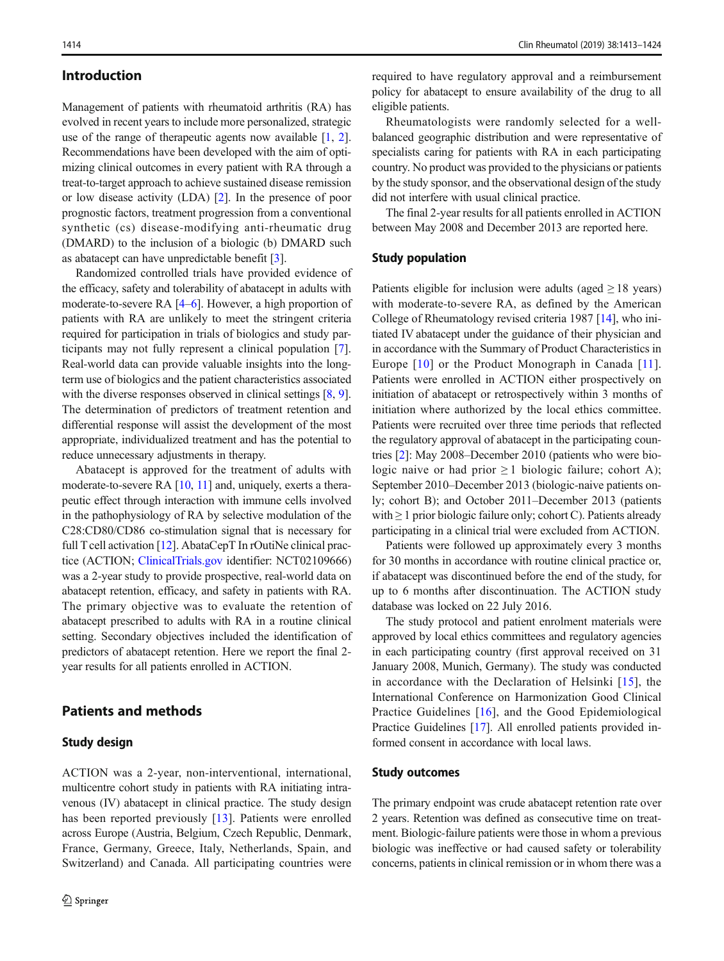## Introduction

Management of patients with rheumatoid arthritis (RA) has evolved in recent years to include more personalized, strategic use of the range of therapeutic agents now available [[1,](#page-10-0) [2\]](#page-10-0). Recommendations have been developed with the aim of optimizing clinical outcomes in every patient with RA through a treat-to-target approach to achieve sustained disease remission or low disease activity (LDA) [[2](#page-10-0)]. In the presence of poor prognostic factors, treatment progression from a conventional synthetic (cs) disease-modifying anti-rheumatic drug (DMARD) to the inclusion of a biologic (b) DMARD such as abatacept can have unpredictable benefit [\[3](#page-10-0)].

Randomized controlled trials have provided evidence of the efficacy, safety and tolerability of abatacept in adults with moderate-to-severe RA [\[4](#page-10-0)–[6\]](#page-10-0). However, a high proportion of patients with RA are unlikely to meet the stringent criteria required for participation in trials of biologics and study participants may not fully represent a clinical population [\[7](#page-10-0)]. Real-world data can provide valuable insights into the longterm use of biologics and the patient characteristics associated with the diverse responses observed in clinical settings  $[8, 9]$  $[8, 9]$  $[8, 9]$  $[8, 9]$ . The determination of predictors of treatment retention and differential response will assist the development of the most appropriate, individualized treatment and has the potential to reduce unnecessary adjustments in therapy.

Abatacept is approved for the treatment of adults with moderate-to-severe RA [\[10,](#page-10-0) [11](#page-10-0)] and, uniquely, exerts a therapeutic effect through interaction with immune cells involved in the pathophysiology of RA by selective modulation of the C28:CD80/CD86 co-stimulation signal that is necessary for full T cell activation [\[12\]](#page-10-0). AbataCepT In rOutiNe clinical practice (ACTION; [ClinicalTrials.gov](http://clinicaltrials.gov) identifier: NCT02109666) was a 2-year study to provide prospective, real-world data on abatacept retention, efficacy, and safety in patients with RA. The primary objective was to evaluate the retention of abatacept prescribed to adults with RA in a routine clinical setting. Secondary objectives included the identification of predictors of abatacept retention. Here we report the final 2 year results for all patients enrolled in ACTION.

## Patients and methods

#### Study design

ACTION was a 2-year, non-interventional, international, multicentre cohort study in patients with RA initiating intravenous (IV) abatacept in clinical practice. The study design has been reported previously [[13\]](#page-10-0). Patients were enrolled across Europe (Austria, Belgium, Czech Republic, Denmark, France, Germany, Greece, Italy, Netherlands, Spain, and Switzerland) and Canada. All participating countries were required to have regulatory approval and a reimbursement policy for abatacept to ensure availability of the drug to all eligible patients.

Rheumatologists were randomly selected for a wellbalanced geographic distribution and were representative of specialists caring for patients with RA in each participating country. No product was provided to the physicians or patients by the study sponsor, and the observational design of the study did not interfere with usual clinical practice.

The final 2-year results for all patients enrolled in ACTION between May 2008 and December 2013 are reported here.

#### Study population

Patients eligible for inclusion were adults (aged  $\geq$  18 years) with moderate-to-severe RA, as defined by the American College of Rheumatology revised criteria 1987 [[14\]](#page-10-0), who initiated IV abatacept under the guidance of their physician and in accordance with the Summary of Product Characteristics in Europe [\[10\]](#page-10-0) or the Product Monograph in Canada [\[11](#page-10-0)]. Patients were enrolled in ACTION either prospectively on initiation of abatacept or retrospectively within 3 months of initiation where authorized by the local ethics committee. Patients were recruited over three time periods that reflected the regulatory approval of abatacept in the participating countries [\[2](#page-10-0)]: May 2008–December 2010 (patients who were biologic naive or had prior  $\geq 1$  biologic failure; cohort A); September 2010–December 2013 (biologic-naive patients only; cohort B); and October 2011–December 2013 (patients with  $\geq 1$  prior biologic failure only; cohort C). Patients already participating in a clinical trial were excluded from ACTION.

Patients were followed up approximately every 3 months for 30 months in accordance with routine clinical practice or, if abatacept was discontinued before the end of the study, for up to 6 months after discontinuation. The ACTION study database was locked on 22 July 2016.

The study protocol and patient enrolment materials were approved by local ethics committees and regulatory agencies in each participating country (first approval received on 31 January 2008, Munich, Germany). The study was conducted in accordance with the Declaration of Helsinki [[15\]](#page-10-0), the International Conference on Harmonization Good Clinical Practice Guidelines [[16\]](#page-10-0), and the Good Epidemiological Practice Guidelines [\[17\]](#page-10-0). All enrolled patients provided informed consent in accordance with local laws.

#### Study outcomes

The primary endpoint was crude abatacept retention rate over 2 years. Retention was defined as consecutive time on treatment. Biologic-failure patients were those in whom a previous biologic was ineffective or had caused safety or tolerability concerns, patients in clinical remission or in whom there was a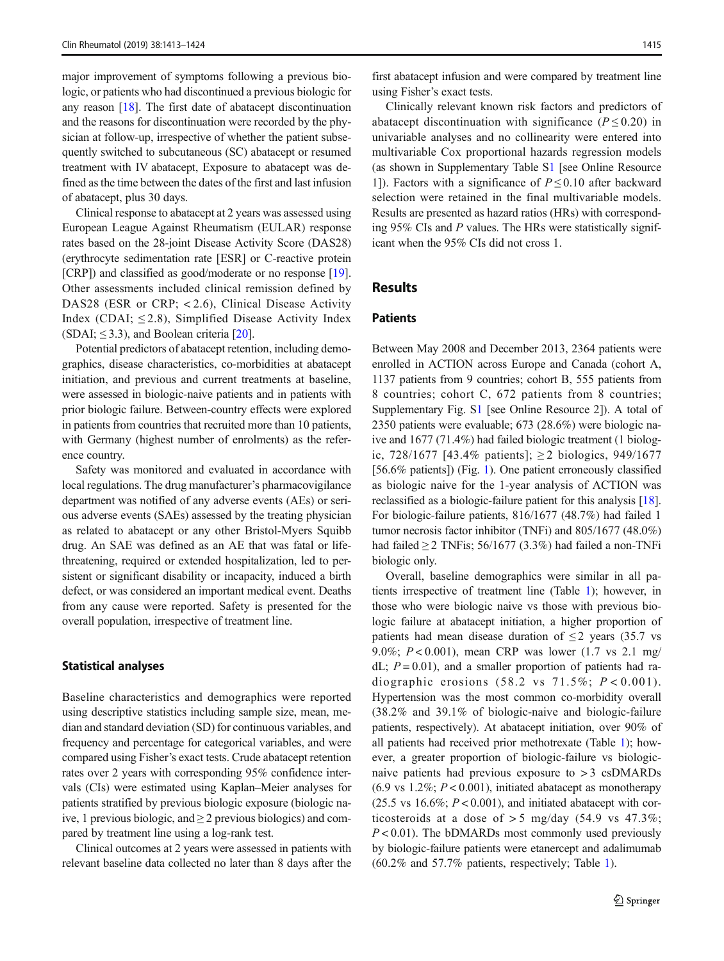major improvement of symptoms following a previous biologic, or patients who had discontinued a previous biologic for any reason [[18\]](#page-10-0). The first date of abatacept discontinuation and the reasons for discontinuation were recorded by the physician at follow-up, irrespective of whether the patient subsequently switched to subcutaneous (SC) abatacept or resumed treatment with IV abatacept, Exposure to abatacept was defined as the time between the dates of the first and last infusion of abatacept, plus 30 days.

Clinical response to abatacept at 2 years was assessed using European League Against Rheumatism (EULAR) response rates based on the 28-joint Disease Activity Score (DAS28) (erythrocyte sedimentation rate [ESR] or C-reactive protein [CRP]) and classified as good/moderate or no response [[19\]](#page-10-0). Other assessments included clinical remission defined by DAS28 (ESR or CRP; < 2.6), Clinical Disease Activity Index (CDAI;  $\leq$  2.8), Simplified Disease Activity Index  $(SDAI; \leq 3.3)$ , and Boolean criteria [\[20](#page-10-0)].

Potential predictors of abatacept retention, including demographics, disease characteristics, co-morbidities at abatacept initiation, and previous and current treatments at baseline, were assessed in biologic-naive patients and in patients with prior biologic failure. Between-country effects were explored in patients from countries that recruited more than 10 patients, with Germany (highest number of enrolments) as the reference country.

Safety was monitored and evaluated in accordance with local regulations. The drug manufacturer's pharmacovigilance department was notified of any adverse events (AEs) or serious adverse events (SAEs) assessed by the treating physician as related to abatacept or any other Bristol-Myers Squibb drug. An SAE was defined as an AE that was fatal or lifethreatening, required or extended hospitalization, led to persistent or significant disability or incapacity, induced a birth defect, or was considered an important medical event. Deaths from any cause were reported. Safety is presented for the overall population, irrespective of treatment line.

#### Statistical analyses

Baseline characteristics and demographics were reported using descriptive statistics including sample size, mean, median and standard deviation (SD) for continuous variables, and frequency and percentage for categorical variables, and were compared using Fisher's exact tests. Crude abatacept retention rates over 2 years with corresponding 95% confidence intervals (CIs) were estimated using Kaplan–Meier analyses for patients stratified by previous biologic exposure (biologic naive, 1 previous biologic, and  $\geq$  2 previous biologics) and compared by treatment line using a log-rank test.

Clinical outcomes at 2 years were assessed in patients with relevant baseline data collected no later than 8 days after the

first abatacept infusion and were compared by treatment line using Fisher's exact tests.

Clinically relevant known risk factors and predictors of abatacept discontinuation with significance ( $P \le 0.20$ ) in univariable analyses and no collinearity were entered into multivariable Cox proportional hazards regression models (as shown in Supplementary Table S1 [see Online Resource 1]). Factors with a significance of  $P \le 0.10$  after backward selection were retained in the final multivariable models. Results are presented as hazard ratios (HRs) with corresponding 95% CIs and P values. The HRs were statistically significant when the 95% CIs did not cross 1.

#### Results

## **Patients**

Between May 2008 and December 2013, 2364 patients were enrolled in ACTION across Europe and Canada (cohort A, 1137 patients from 9 countries; cohort B, 555 patients from 8 countries; cohort C, 672 patients from 8 countries; Supplementary Fig. S1 [see Online Resource 2]). A total of 2350 patients were evaluable; 673 (28.6%) were biologic naive and 1677 (71.4%) had failed biologic treatment (1 biologic, 728/1677 [43.4% patients]; ≥ 2 biologics, 949/1677 [56.6% patients]) (Fig. [1\)](#page-3-0). One patient erroneously classified as biologic naive for the 1-year analysis of ACTION was reclassified as a biologic-failure patient for this analysis [[18\]](#page-10-0). For biologic-failure patients, 816/1677 (48.7%) had failed 1 tumor necrosis factor inhibitor (TNFi) and 805/1677 (48.0%) had failed  $\geq$  2 TNFis; 56/1677 (3.3%) had failed a non-TNFi biologic only.

Overall, baseline demographics were similar in all patients irrespective of treatment line (Table [1](#page-4-0)); however, in those who were biologic naive vs those with previous biologic failure at abatacept initiation, a higher proportion of patients had mean disease duration of  $\leq$  2 years (35.7 vs 9.0%;  $P < 0.001$ ), mean CRP was lower (1.7 vs 2.1 mg/ dL;  $P = 0.01$ ), and a smaller proportion of patients had radiographic erosions  $(58.2 \text{ vs } 71.5\%; P < 0.001)$ . Hypertension was the most common co-morbidity overall (38.2% and 39.1% of biologic-naive and biologic-failure patients, respectively). At abatacept initiation, over 90% of all patients had received prior methotrexate (Table [1\)](#page-4-0); however, a greater proportion of biologic-failure vs biologicnaive patients had previous exposure to  $>$  3 csDMARDs  $(6.9 \text{ vs } 1.2\%; P < 0.001)$ , initiated abatacept as monotherapy  $(25.5 \text{ vs } 16.6\%; P < 0.001)$ , and initiated abatacept with corticosteroids at a dose of  $> 5$  mg/day (54.9 vs 47.3%;  $P < 0.01$ ). The bDMARDs most commonly used previously by biologic-failure patients were etanercept and adalimumab (60.2% and 57.7% patients, respectively; Table [1](#page-4-0)).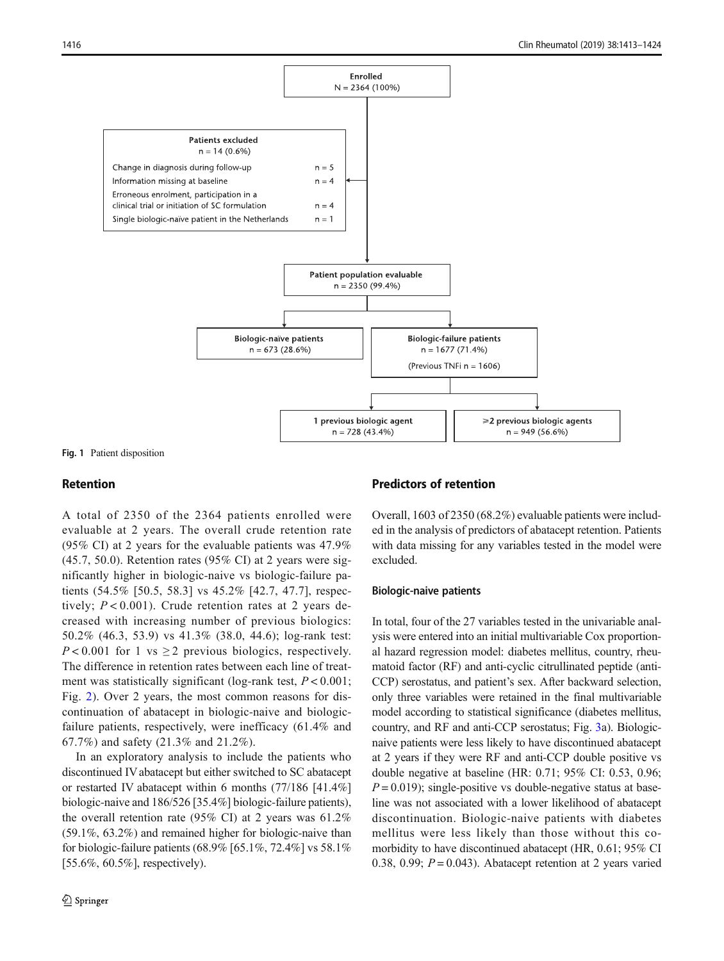<span id="page-3-0"></span>

Fig. 1 Patient disposition

## Retention

A total of 2350 of the 2364 patients enrolled were evaluable at 2 years. The overall crude retention rate (95% CI) at 2 years for the evaluable patients was 47.9% (45.7, 50.0). Retention rates (95% CI) at 2 years were significantly higher in biologic-naive vs biologic-failure patients (54.5% [50.5, 58.3] vs 45.2% [42.7, 47.7], respectively;  $P < 0.001$ ). Crude retention rates at 2 years decreased with increasing number of previous biologics: 50.2% (46.3, 53.9) vs 41.3% (38.0, 44.6); log-rank test:  $P < 0.001$  for 1 vs  $\geq 2$  previous biologics, respectively. The difference in retention rates between each line of treatment was statistically significant (log-rank test,  $P < 0.001$ ; Fig. [2\)](#page-6-0). Over 2 years, the most common reasons for discontinuation of abatacept in biologic-naive and biologicfailure patients, respectively, were inefficacy (61.4% and 67.7%) and safety (21.3% and 21.2%).

In an exploratory analysis to include the patients who discontinued IV abatacept but either switched to SC abatacept or restarted IV abatacept within 6 months (77/186 [41.4%] biologic-naive and 186/526 [35.4%] biologic-failure patients), the overall retention rate (95% CI) at 2 years was 61.2% (59.1%, 63.2%) and remained higher for biologic-naive than for biologic-failure patients (68.9% [65.1%, 72.4%] vs 58.1% [55.6%, 60.5%], respectively).

## Predictors of retention

Overall, 1603 of 2350 (68.2%) evaluable patients were included in the analysis of predictors of abatacept retention. Patients with data missing for any variables tested in the model were excluded.

#### Biologic-naive patients

In total, four of the 27 variables tested in the univariable analysis were entered into an initial multivariable Cox proportional hazard regression model: diabetes mellitus, country, rheumatoid factor (RF) and anti-cyclic citrullinated peptide (anti-CCP) serostatus, and patient's sex. After backward selection, only three variables were retained in the final multivariable model according to statistical significance (diabetes mellitus, country, and RF and anti-CCP serostatus; Fig. [3a](#page-7-0)). Biologicnaive patients were less likely to have discontinued abatacept at 2 years if they were RF and anti-CCP double positive vs double negative at baseline (HR: 0.71; 95% CI: 0.53, 0.96;  $P = 0.019$ ; single-positive vs double-negative status at baseline was not associated with a lower likelihood of abatacept discontinuation. Biologic-naive patients with diabetes mellitus were less likely than those without this comorbidity to have discontinued abatacept (HR, 0.61; 95% CI 0.38, 0.99;  $P = 0.043$ ). Abatacept retention at 2 years varied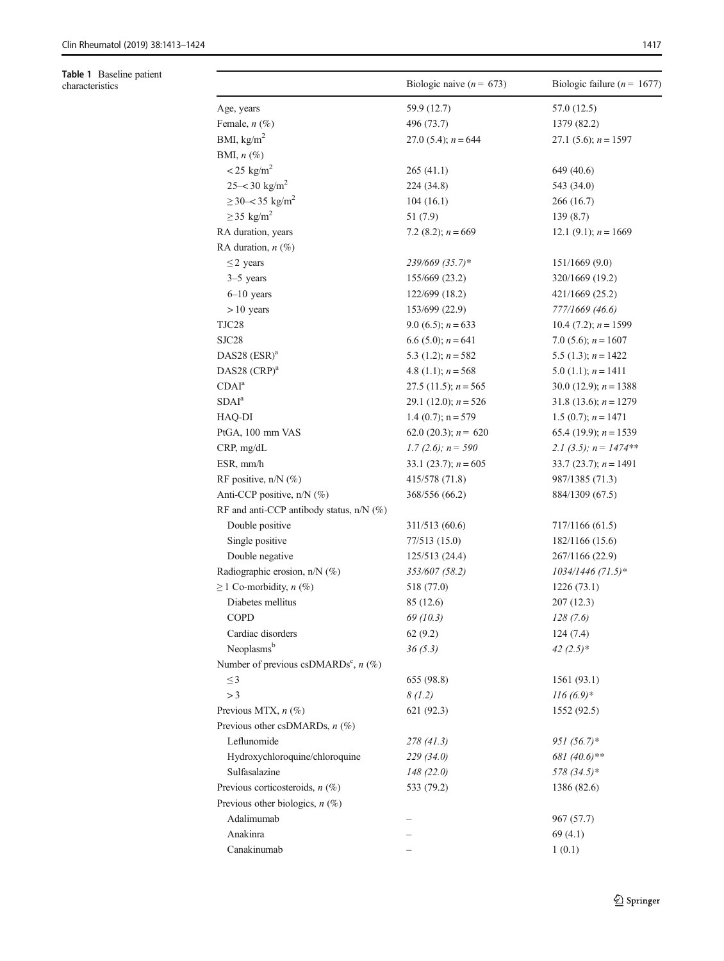<span id="page-4-0"></span>

| Table 1 Baseline patient<br>characteristics |                                                    | Biologic naive $(n = 673)$ | Biologic failure ( $n = 1677$ ) |  |
|---------------------------------------------|----------------------------------------------------|----------------------------|---------------------------------|--|
|                                             | Age, years                                         | 59.9 (12.7)                | 57.0 (12.5)                     |  |
|                                             | Female, $n$ $(\%)$                                 | 496 (73.7)                 | 1379 (82.2)                     |  |
|                                             | BMI, $kg/m2$                                       | 27.0 (5.4); $n = 644$      | 27.1 $(5.6)$ ; $n = 1597$       |  |
|                                             | BMI, $n$ $(\%)$                                    |                            |                                 |  |
|                                             | $<$ 25 kg/m <sup>2</sup>                           | 265(41.1)                  | 649 (40.6)                      |  |
|                                             | $25 - 30$ kg/m <sup>2</sup>                        | 224 (34.8)                 | 543 (34.0)                      |  |
|                                             | $\geq$ 30-< 35 kg/m <sup>2</sup>                   | 104(16.1)                  | 266 (16.7)                      |  |
|                                             | $\geq$ 35 kg/m <sup>2</sup>                        | 51 (7.9)                   | 139(8.7)                        |  |
|                                             | RA duration, years                                 | 7.2 (8.2); $n = 669$       | 12.1 (9.1); $n = 1669$          |  |
|                                             | RA duration, $n$ (%)                               |                            |                                 |  |
|                                             | $\leq$ 2 years                                     | 239/669 (35.7)*            | 151/1669(9.0)                   |  |
|                                             | $3-5$ years                                        | 155/669 (23.2)             | 320/1669 (19.2)                 |  |
|                                             | $6-10$ years                                       | 122/699 (18.2)             | 421/1669 (25.2)                 |  |
|                                             | $>10$ years                                        | 153/699 (22.9)             | 777/1669 (46.6)                 |  |
|                                             | TJC28                                              | 9.0 (6.5); $n = 633$       | 10.4 $(7.2)$ ; $n = 1599$       |  |
|                                             | SJC28                                              | 6.6 (5.0); $n = 641$       | 7.0 (5.6); $n = 1607$           |  |
|                                             | DAS28 $(ESR)^a$                                    | 5.3 (1.2); $n = 582$       | 5.5 (1.3); $n = 1422$           |  |
|                                             | DAS28 $(CRP)^a$                                    | 4.8 (1.1); $n = 568$       | 5.0 $(1.1)$ ; $n = 1411$        |  |
|                                             | CDAI <sup>a</sup>                                  | 27.5 (11.5); $n = 565$     | 30.0 (12.9); $n = 1388$         |  |
|                                             | SDAI <sup>a</sup>                                  | 29.1 (12.0); $n = 526$     | 31.8 (13.6); $n = 1279$         |  |
|                                             | HAQ-DI                                             | 1.4 $(0.7)$ ; n = 579      | 1.5 (0.7); $n = 1471$           |  |
|                                             | PtGA, 100 mm VAS                                   | 62.0 (20.3); $n = 620$     | 65.4 (19.9); $n = 1539$         |  |
|                                             | CRP, mg/dL                                         | 1.7 (2.6); $n = 590$       | 2.1 (3.5); $n = 1474**$         |  |
|                                             | ESR, mm/h                                          | 33.1 (23.7); $n = 605$     | 33.7 (23.7); $n = 1491$         |  |
|                                             | RF positive, $n/N$ (%)                             | 415/578 (71.8)             | 987/1385 (71.3)                 |  |
|                                             | Anti-CCP positive, n/N (%)                         | 368/556 (66.2)             | 884/1309 (67.5)                 |  |
|                                             | RF and anti-CCP antibody status, $n/N$ (%)         |                            |                                 |  |
|                                             | Double positive                                    | 311/513 (60.6)             | 717/1166 (61.5)                 |  |
|                                             | Single positive                                    | 77/513 (15.0)              | 182/1166 (15.6)                 |  |
|                                             | Double negative                                    | 125/513 (24.4)             | 267/1166 (22.9)                 |  |
|                                             | Radiographic erosion, n/N (%)                      | 353/607 (58.2)             | 1034/1446 (71.5)*               |  |
|                                             | $\geq$ 1 Co-morbidity, <i>n</i> (%)                | 518 (77.0)                 | 1226(73.1)                      |  |
|                                             | Diabetes mellitus                                  | 85 (12.6)                  | 207(12.3)                       |  |
|                                             | COPD                                               | 69(10.3)                   | 128(7.6)                        |  |
|                                             | Cardiac disorders                                  | 62(9.2)                    | 124(7.4)                        |  |
|                                             | Neoplasms <sup>b</sup>                             | 36(5.3)                    | 42 $(2.5)$ *                    |  |
|                                             | Number of previous csDMARDs <sup>c</sup> , $n$ (%) |                            |                                 |  |
|                                             | $\leq$ 3                                           | 655 (98.8)                 | 1561 (93.1)                     |  |
|                                             | >3                                                 | 8(1.2)                     | $116(6.9)*$                     |  |
|                                             | Previous MTX, $n$ (%)                              | 621 (92.3)                 | 1552 (92.5)                     |  |
|                                             | Previous other csDMARDs, $n$ (%)                   |                            |                                 |  |
|                                             | Leflunomide                                        | 278(41.3)                  | $951(56.7)$ *                   |  |
|                                             | Hydroxychloroquine/chloroquine                     | 229 (34.0)                 | 681 (40.6)**                    |  |
|                                             | Sulfasalazine                                      | 148(22.0)                  | 578 (34.5)*                     |  |
|                                             | Previous corticosteroids, $n$ (%)                  | 533 (79.2)                 | 1386 (82.6)                     |  |
|                                             | Previous other biologics, $n$ (%)                  |                            |                                 |  |
|                                             | Adalimumab                                         |                            | 967 (57.7)                      |  |
|                                             | Anakinra                                           |                            | 69(4.1)                         |  |
|                                             | Canakinumab                                        |                            | 1(0.1)                          |  |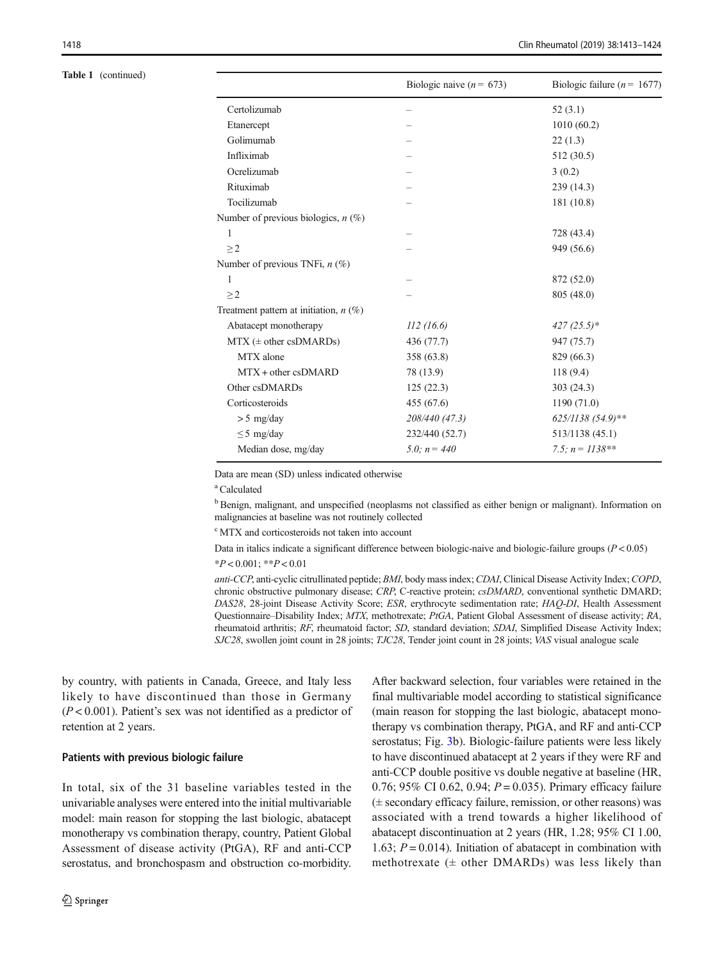#### Table 1 (continued)

|                                          | Biologic naive ( $n = 673$ ) | Biologic failure ( $n = 1677$ ) |
|------------------------------------------|------------------------------|---------------------------------|
| Certolizumab                             |                              | 52(3.1)                         |
| Etanercept                               |                              | 1010(60.2)                      |
| Golimumab                                |                              | 22(1.3)                         |
| Infliximab                               |                              | 512 (30.5)                      |
| Ocrelizumab                              |                              | 3(0.2)                          |
| Rituximab                                |                              | 239 (14.3)                      |
| Tocilizumab                              |                              | 181 (10.8)                      |
| Number of previous biologics, $n$ (%)    |                              |                                 |
| 1                                        |                              | 728 (43.4)                      |
| $\geq$ 2                                 |                              | 949 (56.6)                      |
| Number of previous TNFi, $n$ (%)         |                              |                                 |
| 1                                        |                              | 872 (52.0)                      |
| $\geq$ 2                                 |                              | 805 (48.0)                      |
| Treatment pattern at initiation, $n$ (%) |                              |                                 |
| Abatacept monotherapy                    | 112(16.6)                    | $427(25.5)*$                    |
| $MTX$ ( $\pm$ other csDMARDs)            | 436 (77.7)                   | 947 (75.7)                      |
| MTX alone                                | 358 (63.8)                   | 829 (66.3)                      |
| $MTX + other$ csDMARD                    | 78 (13.9)                    | 118(9.4)                        |
| Other csDMARDs                           | 125(22.3)                    | 303(24.3)                       |
| Corticosteroids                          | 455 (67.6)                   | 1190 (71.0)                     |
| $> 5$ mg/day                             | 208/440 (47.3)               | 625/1138 (54.9)**               |
| $\leq$ 5 mg/day                          | 232/440 (52.7)               | 513/1138 (45.1)                 |
| Median dose, mg/day                      | $5.0$ ; $n = 440$            | 7.5; $n = 1138**$               |

Data are mean (SD) unless indicated otherwise

a Calculated

<sup>b</sup> Benign, malignant, and unspecified (neoplasms not classified as either benign or malignant). Information on malignancies at baseline was not routinely collected

c MTX and corticosteroids not taken into account

Data in italics indicate a significant difference between biologic-naive and biologic-failure groups  $(P < 0.05)$  $*P < 0.001$ ;  $*P < 0.01$ 

anti-CCP, anti-cyclic citrullinated peptide; BMI, body mass index; CDAI, Clinical Disease Activity Index; COPD, chronic obstructive pulmonary disease; CRP, C-reactive protein; csDMARD, conventional synthetic DMARD; DAS28, 28-joint Disease Activity Score; ESR, erythrocyte sedimentation rate; HAQ-DI, Health Assessment Questionnaire–Disability Index; MTX, methotrexate; PtGA, Patient Global Assessment of disease activity; RA, rheumatoid arthritis; RF, rheumatoid factor; SD, standard deviation; SDAI, Simplified Disease Activity Index; SJC28, swollen joint count in 28 joints; TJC28, Tender joint count in 28 joints; VAS visual analogue scale

by country, with patients in Canada, Greece, and Italy less likely to have discontinued than those in Germany  $(P<0.001)$ . Patient's sex was not identified as a predictor of retention at 2 years.

#### Patients with previous biologic failure

In total, six of the 31 baseline variables tested in the univariable analyses were entered into the initial multivariable model: main reason for stopping the last biologic, abatacept monotherapy vs combination therapy, country, Patient Global Assessment of disease activity (PtGA), RF and anti-CCP serostatus, and bronchospasm and obstruction co-morbidity. After backward selection, four variables were retained in the final multivariable model according to statistical significance (main reason for stopping the last biologic, abatacept monotherapy vs combination therapy, PtGA, and RF and anti-CCP serostatus; Fig. [3b](#page-7-0)). Biologic-failure patients were less likely to have discontinued abatacept at 2 years if they were RF and anti-CCP double positive vs double negative at baseline (HR, 0.76; 95% CI 0.62, 0.94;  $P = 0.035$ ). Primary efficacy failure (± secondary efficacy failure, remission, or other reasons) was associated with a trend towards a higher likelihood of abatacept discontinuation at 2 years (HR, 1.28; 95% CI 1.00, 1.63;  $P = 0.014$ ). Initiation of abatacept in combination with methotrexate  $(± other DMARDs)$  was less likely than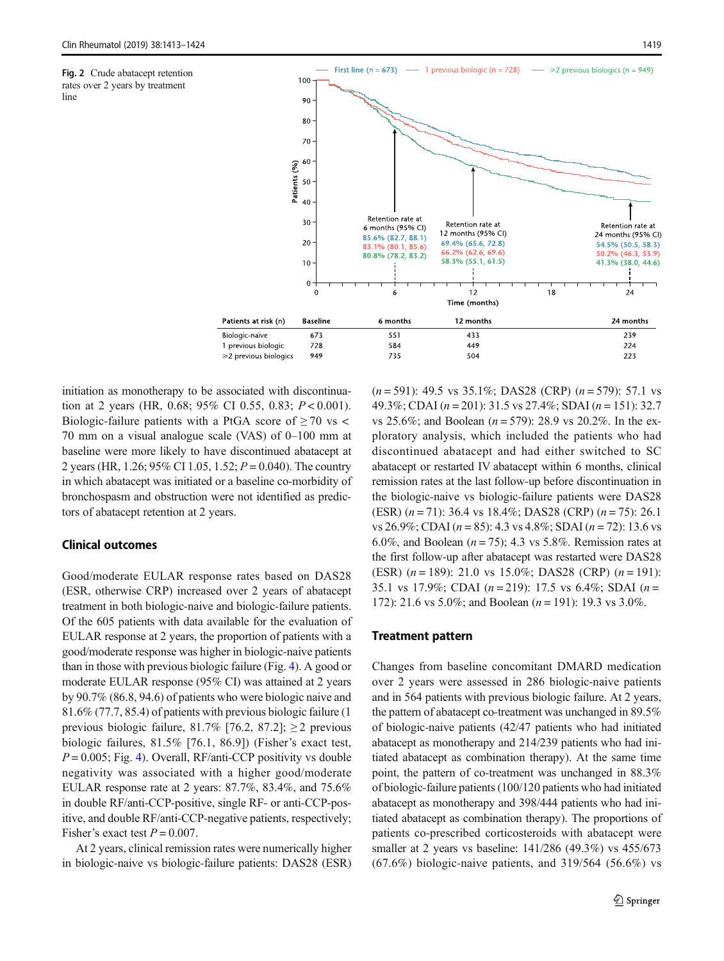<span id="page-6-0"></span>Fig. 2 Crude abatacept retention rates over 2 years by treatment

line



initiation as monotherapy to be associated with discontinuation at 2 years (HR, 0.68; 95% CI 0.55, 0.83;  $P < 0.001$ ). Biologic-failure patients with a PtGA score of  $\geq$  70 vs < 70 mm on a visual analogue scale (VAS) of 0–100 mm at baseline were more likely to have discontinued abatacept at 2 years (HR, 1.26; 95% CI 1.05, 1.52;  $P = 0.040$ ). The country in which abatacept was initiated or a baseline co-morbidity of bronchospasm and obstruction were not identified as predictors of abatacept retention at 2 years.

## Clinical outcomes

Good/moderate EULAR response rates based on DAS28 (ESR, otherwise CRP) increased over 2 years of abatacept treatment in both biologic-naive and biologic-failure patients. Of the 605 patients with data available for the evaluation of EULAR response at 2 years, the proportion of patients with a good/moderate response was higher in biologic-naive patients than in those with previous biologic failure (Fig. [4\)](#page-8-0). A good or moderate EULAR response (95% CI) was attained at 2 years by 90.7% (86.8, 94.6) of patients who were biologic naive and 81.6% (77.7, 85.4) of patients with previous biologic failure (1 previous biologic failure, 81.7% [76.2, 87.2];  $\geq$  2 previous biologic failures, 81.5% [76.1, 86.9]) (Fisher's exact test,  $P = 0.005$ ; Fig. [4\)](#page-8-0). Overall, RF/anti-CCP positivity vs double negativity was associated with a higher good/moderate EULAR response rate at 2 years: 87.7%, 83.4%, and 75.6% in double RF/anti-CCP-positive, single RF- or anti-CCP-positive, and double RF/anti-CCP-negative patients, respectively; Fisher's exact test  $P = 0.007$ .

At 2 years, clinical remission rates were numerically higher in biologic-naive vs biologic-failure patients: DAS28 (ESR)  $(n = 591)$ : 49.5 vs 35.1%; DAS28 (CRP)  $(n = 579)$ : 57.1 vs 49.3%; CDAI ( $n = 201$ ): 31.5 vs 27.4%; SDAI ( $n = 151$ ): 32.7 vs 25.6%; and Boolean ( $n = 579$ ): 28.9 vs 20.2%. In the exploratory analysis, which included the patients who had discontinued abatacept and had either switched to SC abatacept or restarted IV abatacept within 6 months, clinical remission rates at the last follow-up before discontinuation in the biologic-naive vs biologic-failure patients were DAS28 (ESR)  $(n = 71)$ : 36.4 vs 18.4%; DAS28 (CRP)  $(n = 75)$ : 26.1 vs 26.9%; CDAI ( $n = 85$ ): 4.3 vs 4.8%; SDAI ( $n = 72$ ): 13.6 vs 6.0%, and Boolean ( $n = 75$ ); 4.3 vs 5.8%. Remission rates at the first follow-up after abatacept was restarted were DAS28 (ESR)  $(n = 189)$ : 21.0 vs 15.0%; DAS28 (CRP)  $(n = 191)$ : 35.1 vs 17.9%; CDAI ( $n = 219$ ): 17.5 vs 6.4%; SDAI ( $n =$ 172): 21.6 vs 5.0%; and Boolean ( $n = 191$ ): 19.3 vs 3.0%.

#### Treatment pattern

Changes from baseline concomitant DMARD medication over 2 years were assessed in 286 biologic-naive patients and in 564 patients with previous biologic failure. At 2 years, the pattern of abatacept co-treatment was unchanged in 89.5% of biologic-naive patients (42/47 patients who had initiated abatacept as monotherapy and 214/239 patients who had initiated abatacept as combination therapy). At the same time point, the pattern of co-treatment was unchanged in 88.3% of biologic-failure patients (100/120 patients who had initiated abatacept as monotherapy and 398/444 patients who had initiated abatacept as combination therapy). The proportions of patients co-prescribed corticosteroids with abatacept were smaller at 2 years vs baseline: 141/286 (49.3%) vs 455/673 (67.6%) biologic-naive patients, and 319/564 (56.6%) vs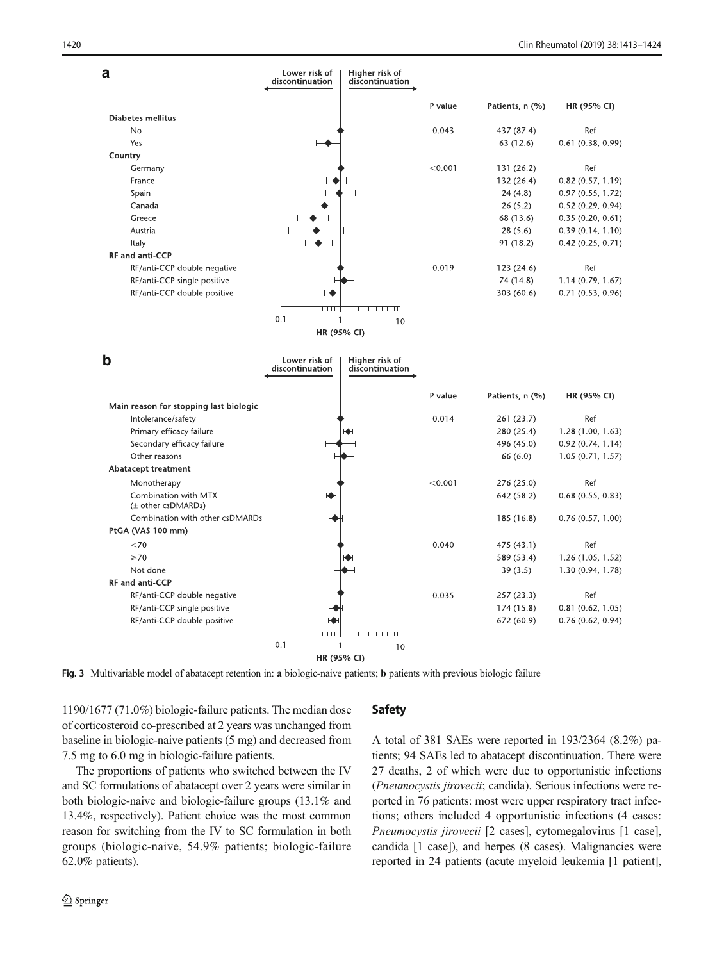<span id="page-7-0"></span>

Fig. 3 Multivariable model of abatacept retention in: a biologic-naive patients; b patients with previous biologic failure

1190/1677 (71.0%) biologic-failure patients. The median dose of corticosteroid co-prescribed at 2 years was unchanged from baseline in biologic-naive patients (5 mg) and decreased from 7.5 mg to 6.0 mg in biologic-failure patients.

The proportions of patients who switched between the IV and SC formulations of abatacept over 2 years were similar in both biologic-naive and biologic-failure groups (13.1% and 13.4%, respectively). Patient choice was the most common reason for switching from the IV to SC formulation in both groups (biologic-naive, 54.9% patients; biologic-failure 62.0% patients).

# Safety

A total of 381 SAEs were reported in 193/2364 (8.2%) patients; 94 SAEs led to abatacept discontinuation. There were 27 deaths, 2 of which were due to opportunistic infections (Pneumocystis jirovecii; candida). Serious infections were reported in 76 patients: most were upper respiratory tract infections; others included 4 opportunistic infections (4 cases: Pneumocystis jirovecii [2 cases], cytomegalovirus [1 case], candida [1 case]), and herpes (8 cases). Malignancies were reported in 24 patients (acute myeloid leukemia [1 patient],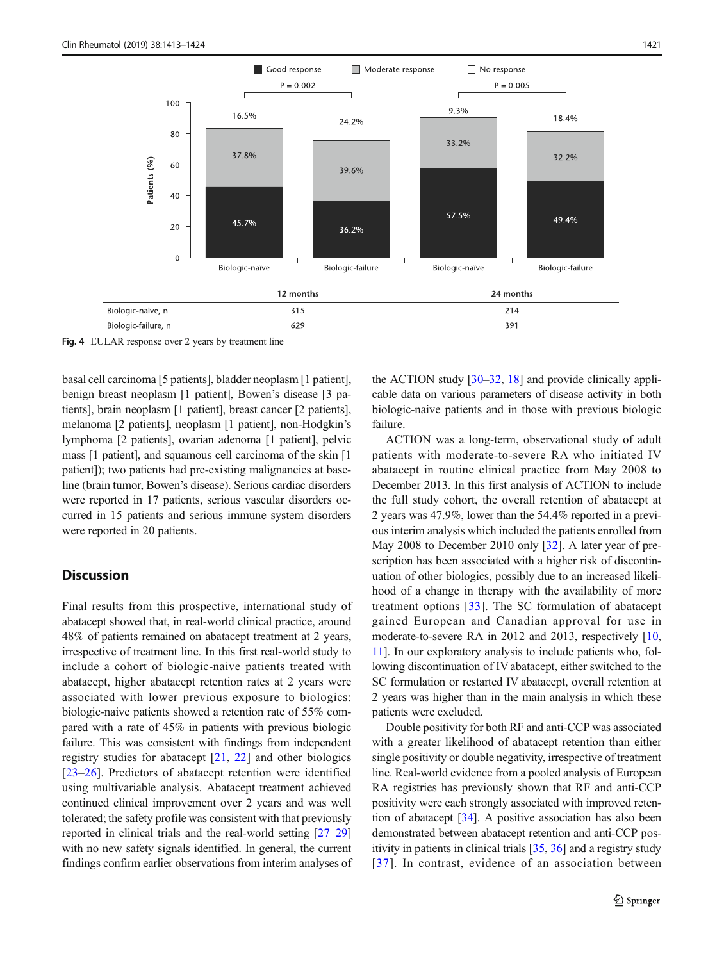<span id="page-8-0"></span>

Fig. 4 EULAR response over 2 years by treatment line

basal cell carcinoma [5 patients], bladder neoplasm [1 patient], benign breast neoplasm [1 patient], Bowen's disease [3 patients], brain neoplasm [1 patient], breast cancer [2 patients], melanoma [2 patients], neoplasm [1 patient], non-Hodgkin's lymphoma [2 patients], ovarian adenoma [1 patient], pelvic mass [1 patient], and squamous cell carcinoma of the skin [1 patient]); two patients had pre-existing malignancies at baseline (brain tumor, Bowen's disease). Serious cardiac disorders were reported in 17 patients, serious vascular disorders occurred in 15 patients and serious immune system disorders were reported in 20 patients.

# **Discussion**

Final results from this prospective, international study of abatacept showed that, in real-world clinical practice, around 48% of patients remained on abatacept treatment at 2 years, irrespective of treatment line. In this first real-world study to include a cohort of biologic-naive patients treated with abatacept, higher abatacept retention rates at 2 years were associated with lower previous exposure to biologics: biologic-naive patients showed a retention rate of 55% compared with a rate of 45% in patients with previous biologic failure. This was consistent with findings from independent registry studies for abatacept [[21,](#page-11-0) [22](#page-11-0)] and other biologics [\[23](#page-11-0)–[26\]](#page-11-0). Predictors of abatacept retention were identified using multivariable analysis. Abatacept treatment achieved continued clinical improvement over 2 years and was well tolerated; the safety profile was consistent with that previously reported in clinical trials and the real-world setting [\[27](#page-11-0)–[29\]](#page-11-0) with no new safety signals identified. In general, the current findings confirm earlier observations from interim analyses of the ACTION study [[30](#page-11-0)–[32](#page-11-0), [18](#page-10-0)] and provide clinically applicable data on various parameters of disease activity in both biologic-naive patients and in those with previous biologic failure.

ACTION was a long-term, observational study of adult patients with moderate-to-severe RA who initiated IV abatacept in routine clinical practice from May 2008 to December 2013. In this first analysis of ACTION to include the full study cohort, the overall retention of abatacept at 2 years was 47.9%, lower than the 54.4% reported in a previous interim analysis which included the patients enrolled from May 2008 to December 2010 only [\[32](#page-11-0)]. A later year of prescription has been associated with a higher risk of discontinuation of other biologics, possibly due to an increased likelihood of a change in therapy with the availability of more treatment options [[33\]](#page-11-0). The SC formulation of abatacept gained European and Canadian approval for use in moderate-to-severe RA in 2012 and 2013, respectively [\[10,](#page-10-0) [11\]](#page-10-0). In our exploratory analysis to include patients who, following discontinuation of IV abatacept, either switched to the SC formulation or restarted IV abatacept, overall retention at 2 years was higher than in the main analysis in which these patients were excluded.

Double positivity for both RF and anti-CCP was associated with a greater likelihood of abatacept retention than either single positivity or double negativity, irrespective of treatment line. Real-world evidence from a pooled analysis of European RA registries has previously shown that RF and anti-CCP positivity were each strongly associated with improved retention of abatacept [[34](#page-11-0)]. A positive association has also been demonstrated between abatacept retention and anti-CCP positivity in patients in clinical trials [\[35](#page-11-0), [36\]](#page-11-0) and a registry study [[37\]](#page-11-0). In contrast, evidence of an association between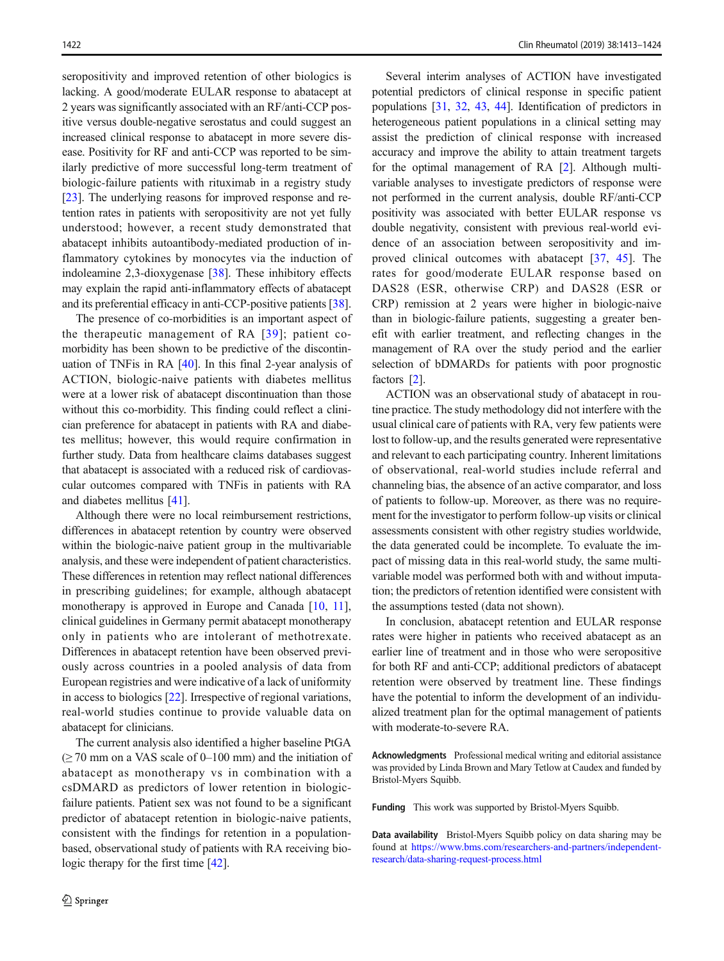seropositivity and improved retention of other biologics is lacking. A good/moderate EULAR response to abatacept at 2 years was significantly associated with an RF/anti-CCP positive versus double-negative serostatus and could suggest an increased clinical response to abatacept in more severe disease. Positivity for RF and anti-CCP was reported to be similarly predictive of more successful long-term treatment of biologic-failure patients with rituximab in a registry study [\[23\]](#page-11-0). The underlying reasons for improved response and retention rates in patients with seropositivity are not yet fully understood; however, a recent study demonstrated that abatacept inhibits autoantibody-mediated production of inflammatory cytokines by monocytes via the induction of indoleamine 2,3-dioxygenase [[38\]](#page-11-0). These inhibitory effects may explain the rapid anti-inflammatory effects of abatacept and its preferential efficacy in anti-CCP-positive patients [[38\]](#page-11-0).

The presence of co-morbidities is an important aspect of the therapeutic management of RA [[39\]](#page-11-0); patient comorbidity has been shown to be predictive of the discontinuation of TNFis in RA [[40\]](#page-11-0). In this final 2-year analysis of ACTION, biologic-naive patients with diabetes mellitus were at a lower risk of abatacept discontinuation than those without this co-morbidity. This finding could reflect a clinician preference for abatacept in patients with RA and diabetes mellitus; however, this would require confirmation in further study. Data from healthcare claims databases suggest that abatacept is associated with a reduced risk of cardiovascular outcomes compared with TNFis in patients with RA and diabetes mellitus [\[41\]](#page-11-0).

Although there were no local reimbursement restrictions, differences in abatacept retention by country were observed within the biologic-naive patient group in the multivariable analysis, and these were independent of patient characteristics. These differences in retention may reflect national differences in prescribing guidelines; for example, although abatacept monotherapy is approved in Europe and Canada [\[10](#page-10-0), [11](#page-10-0)], clinical guidelines in Germany permit abatacept monotherapy only in patients who are intolerant of methotrexate. Differences in abatacept retention have been observed previously across countries in a pooled analysis of data from European registries and were indicative of a lack of uniformity in access to biologics [[22\]](#page-11-0). Irrespective of regional variations, real-world studies continue to provide valuable data on abatacept for clinicians.

The current analysis also identified a higher baseline PtGA  $\geq$  70 mm on a VAS scale of 0–100 mm) and the initiation of abatacept as monotherapy vs in combination with a csDMARD as predictors of lower retention in biologicfailure patients. Patient sex was not found to be a significant predictor of abatacept retention in biologic-naive patients, consistent with the findings for retention in a populationbased, observational study of patients with RA receiving biologic therapy for the first time [[42](#page-11-0)].

Several interim analyses of ACTION have investigated potential predictors of clinical response in specific patient populations [\[31](#page-11-0), [32](#page-11-0), [43,](#page-11-0) [44\]](#page-11-0). Identification of predictors in heterogeneous patient populations in a clinical setting may assist the prediction of clinical response with increased accuracy and improve the ability to attain treatment targets for the optimal management of RA [\[2](#page-10-0)]. Although multivariable analyses to investigate predictors of response were not performed in the current analysis, double RF/anti-CCP positivity was associated with better EULAR response vs double negativity, consistent with previous real-world evidence of an association between seropositivity and improved clinical outcomes with abatacept [[37,](#page-11-0) [45](#page-11-0)]. The rates for good/moderate EULAR response based on DAS28 (ESR, otherwise CRP) and DAS28 (ESR or CRP) remission at 2 years were higher in biologic-naive than in biologic-failure patients, suggesting a greater benefit with earlier treatment, and reflecting changes in the management of RA over the study period and the earlier selection of bDMARDs for patients with poor prognostic factors [[2\]](#page-10-0).

ACTION was an observational study of abatacept in routine practice. The study methodology did not interfere with the usual clinical care of patients with RA, very few patients were lost to follow-up, and the results generated were representative and relevant to each participating country. Inherent limitations of observational, real-world studies include referral and channeling bias, the absence of an active comparator, and loss of patients to follow-up. Moreover, as there was no requirement for the investigator to perform follow-up visits or clinical assessments consistent with other registry studies worldwide, the data generated could be incomplete. To evaluate the impact of missing data in this real-world study, the same multivariable model was performed both with and without imputation; the predictors of retention identified were consistent with the assumptions tested (data not shown).

In conclusion, abatacept retention and EULAR response rates were higher in patients who received abatacept as an earlier line of treatment and in those who were seropositive for both RF and anti-CCP; additional predictors of abatacept retention were observed by treatment line. These findings have the potential to inform the development of an individualized treatment plan for the optimal management of patients with moderate-to-severe RA.

Acknowledgments Professional medical writing and editorial assistance was provided by Linda Brown and Mary Tetlow at Caudex and funded by Bristol-Myers Squibb.

Funding This work was supported by Bristol-Myers Squibb.

Data availability Bristol-Myers Squibb policy on data sharing may be found at [https://www.bms.com/researchers-and-partners/independent](https://www.bms.com/researchers-and-partners/independent-research/data-sharing-request-process.html)[research/data-sharing-request-process.html](https://www.bms.com/researchers-and-partners/independent-research/data-sharing-request-process.html)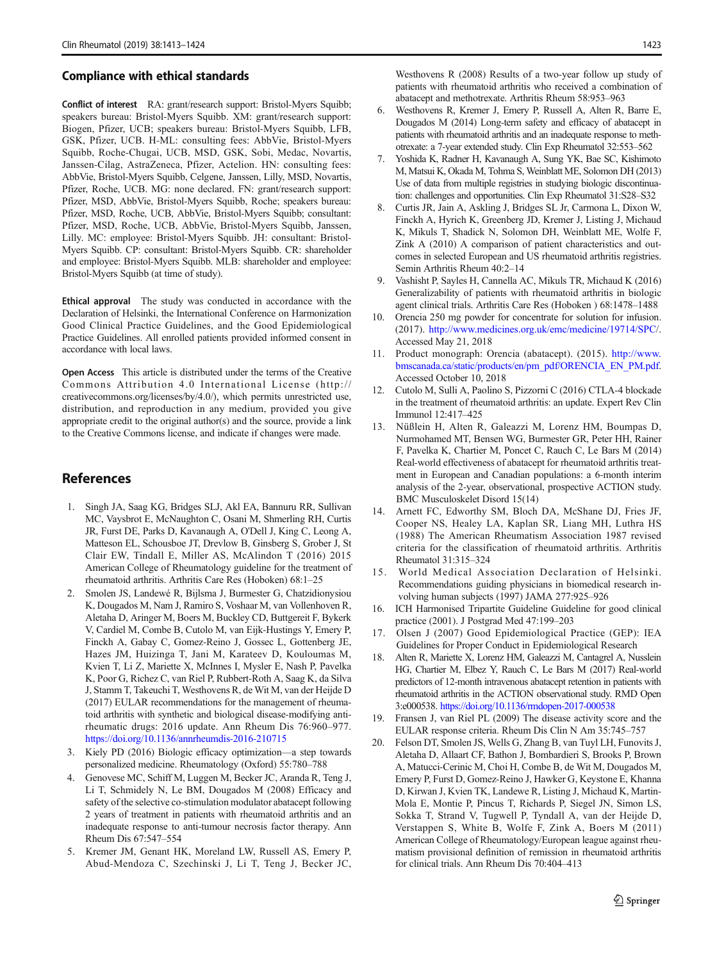#### <span id="page-10-0"></span>Compliance with ethical standards

Conflict of interest RA: grant/research support: Bristol-Myers Squibb; speakers bureau: Bristol-Myers Squibb. XM: grant/research support: Biogen, Pfizer, UCB; speakers bureau: Bristol-Myers Squibb, LFB, GSK, Pfizer, UCB. H-ML: consulting fees: AbbVie, Bristol-Myers Squibb, Roche-Chugai, UCB, MSD, GSK, Sobi, Medac, Novartis, Janssen-Cilag, AstraZeneca, Pfizer, Actelion. HN: consulting fees: AbbVie, Bristol-Myers Squibb, Celgene, Janssen, Lilly, MSD, Novartis, Pfizer, Roche, UCB. MG: none declared. FN: grant/research support: Pfizer, MSD, AbbVie, Bristol-Myers Squibb, Roche; speakers bureau: Pfizer, MSD, Roche, UCB, AbbVie, Bristol-Myers Squibb; consultant: Pfizer, MSD, Roche, UCB, AbbVie, Bristol-Myers Squibb, Janssen, Lilly. MC: employee: Bristol-Myers Squibb. JH: consultant: Bristol-Myers Squibb. CP: consultant: Bristol-Myers Squibb. CR: shareholder and employee: Bristol-Myers Squibb. MLB: shareholder and employee: Bristol-Myers Squibb (at time of study).

Ethical approval The study was conducted in accordance with the Declaration of Helsinki, the International Conference on Harmonization Good Clinical Practice Guidelines, and the Good Epidemiological Practice Guidelines. All enrolled patients provided informed consent in accordance with local laws.

Open Access This article is distributed under the terms of the Creative Commons Attribution 4.0 International License (http:// creativecommons.org/licenses/by/4.0/), which permits unrestricted use, distribution, and reproduction in any medium, provided you give appropriate credit to the original author(s) and the source, provide a link to the Creative Commons license, and indicate if changes were made.

# **References**

- 1. Singh JA, Saag KG, Bridges SLJ, Akl EA, Bannuru RR, Sullivan MC, Vaysbrot E, McNaughton C, Osani M, Shmerling RH, Curtis JR, Furst DE, Parks D, Kavanaugh A, O'Dell J, King C, Leong A, Matteson EL, Schousboe JT, Drevlow B, Ginsberg S, Grober J, St Clair EW, Tindall E, Miller AS, McAlindon T (2016) 2015 American College of Rheumatology guideline for the treatment of rheumatoid arthritis. Arthritis Care Res (Hoboken) 68:1–25
- 2. Smolen JS, Landewé R, Bijlsma J, Burmester G, Chatzidionysiou K, Dougados M, Nam J, Ramiro S, Voshaar M, van Vollenhoven R, Aletaha D, Aringer M, Boers M, Buckley CD, Buttgereit F, Bykerk V, Cardiel M, Combe B, Cutolo M, van Eijk-Hustings Y, Emery P, Finckh A, Gabay C, Gomez-Reino J, Gossec L, Gottenberg JE, Hazes JM, Huizinga T, Jani M, Karateev D, Kouloumas M, Kvien T, Li Z, Mariette X, McInnes I, Mysler E, Nash P, Pavelka K, Poor G, Richez C, van Riel P, Rubbert-Roth A, Saag K, da Silva J, Stamm T, Takeuchi T, Westhovens R, de Wit M, van der Heijde D (2017) EULAR recommendations for the management of rheumatoid arthritis with synthetic and biological disease-modifying antirheumatic drugs: 2016 update. Ann Rheum Dis 76:960–977. <https://doi.org/10.1136/annrheumdis-2016-210715>
- 3. Kiely PD (2016) Biologic efficacy optimization—a step towards personalized medicine. Rheumatology (Oxford) 55:780–788
- 4. Genovese MC, Schiff M, Luggen M, Becker JC, Aranda R, Teng J, Li T, Schmidely N, Le BM, Dougados M (2008) Efficacy and safety of the selective co-stimulation modulator abatacept following 2 years of treatment in patients with rheumatoid arthritis and an inadequate response to anti-tumour necrosis factor therapy. Ann Rheum Dis 67:547–554
- 5. Kremer JM, Genant HK, Moreland LW, Russell AS, Emery P, Abud-Mendoza C, Szechinski J, Li T, Teng J, Becker JC,

Westhovens R (2008) Results of a two-year follow up study of patients with rheumatoid arthritis who received a combination of abatacept and methotrexate. Arthritis Rheum 58:953–963

- 6. Westhovens R, Kremer J, Emery P, Russell A, Alten R, Barre E, Dougados M (2014) Long-term safety and efficacy of abatacept in patients with rheumatoid arthritis and an inadequate response to methotrexate: a 7-year extended study. Clin Exp Rheumatol 32:553–562
- 7. Yoshida K, Radner H, Kavanaugh A, Sung YK, Bae SC, Kishimoto M, Matsui K, Okada M, Tohma S, Weinblatt ME, Solomon DH (2013) Use of data from multiple registries in studying biologic discontinuation: challenges and opportunities. Clin Exp Rheumatol 31:S28–S32
- 8. Curtis JR, Jain A, Askling J, Bridges SL Jr, Carmona L, Dixon W, Finckh A, Hyrich K, Greenberg JD, Kremer J, Listing J, Michaud K, Mikuls T, Shadick N, Solomon DH, Weinblatt ME, Wolfe F, Zink A (2010) A comparison of patient characteristics and outcomes in selected European and US rheumatoid arthritis registries. Semin Arthritis Rheum 40:2–14
- 9. Vashisht P, Sayles H, Cannella AC, Mikuls TR, Michaud K (2016) Generalizability of patients with rheumatoid arthritis in biologic agent clinical trials. Arthritis Care Res (Hoboken ) 68:1478–1488
- 10. Orencia 250 mg powder for concentrate for solution for infusion. (2017). [http://www.medicines.org.uk/emc/medicine/19714/SPC/](http://www.medicines.org.uk/emc/medicine/19714/SPC). Accessed May 21, 2018
- 11. Product monograph: Orencia (abatacept). (2015). [http://www.](http://www.bmscanada.ca/static/products/en/pm_pdf/ORENCIA_EN_PM.pdf) [bmscanada.ca/static/products/en/pm\\_pdf/ORENCIA\\_EN\\_PM.pdf](http://www.bmscanada.ca/static/products/en/pm_pdf/ORENCIA_EN_PM.pdf). Accessed October 10, 2018
- 12. Cutolo M, Sulli A, Paolino S, Pizzorni C (2016) CTLA-4 blockade in the treatment of rheumatoid arthritis: an update. Expert Rev Clin Immunol 12:417–425
- 13. Nüßlein H, Alten R, Galeazzi M, Lorenz HM, Boumpas D, Nurmohamed MT, Bensen WG, Burmester GR, Peter HH, Rainer F, Pavelka K, Chartier M, Poncet C, Rauch C, Le Bars M (2014) Real-world effectiveness of abatacept for rheumatoid arthritis treatment in European and Canadian populations: a 6-month interim analysis of the 2-year, observational, prospective ACTION study. BMC Musculoskelet Disord 15(14)
- 14. Arnett FC, Edworthy SM, Bloch DA, McShane DJ, Fries JF, Cooper NS, Healey LA, Kaplan SR, Liang MH, Luthra HS (1988) The American Rheumatism Association 1987 revised criteria for the classification of rheumatoid arthritis. Arthritis Rheumatol 31:315–324
- 15. World Medical Association Declaration of Helsinki. Recommendations guiding physicians in biomedical research involving human subjects (1997) JAMA 277:925–926
- 16. ICH Harmonised Tripartite Guideline Guideline for good clinical practice (2001). J Postgrad Med 47:199–203
- 17. Olsen J (2007) Good Epidemiological Practice (GEP): IEA Guidelines for Proper Conduct in Epidemiological Research
- 18. Alten R, Mariette X, Lorenz HM, Galeazzi M, Cantagrel A, Nusslein HG, Chartier M, Elbez Y, Rauch C, Le Bars M (2017) Real-world predictors of 12-month intravenous abatacept retention in patients with rheumatoid arthritis in the ACTION observational study. RMD Open 3:e000538. <https://doi.org/10.1136/rmdopen-2017-000538>
- 19. Fransen J, van Riel PL (2009) The disease activity score and the EULAR response criteria. Rheum Dis Clin N Am 35:745–757
- 20. Felson DT, Smolen JS, Wells G, Zhang B, van Tuyl LH, Funovits J, Aletaha D, Allaart CF, Bathon J, Bombardieri S, Brooks P, Brown A, Matucci-Cerinic M, Choi H, Combe B, de Wit M, Dougados M, Emery P, Furst D, Gomez-Reino J, Hawker G, Keystone E, Khanna D, Kirwan J, Kvien TK, Landewe R, Listing J, Michaud K, Martin-Mola E, Montie P, Pincus T, Richards P, Siegel JN, Simon LS, Sokka T, Strand V, Tugwell P, Tyndall A, van der Heijde D, Verstappen S, White B, Wolfe F, Zink A, Boers M (2011) American College of Rheumatology/European league against rheumatism provisional definition of remission in rheumatoid arthritis for clinical trials. Ann Rheum Dis 70:404–413